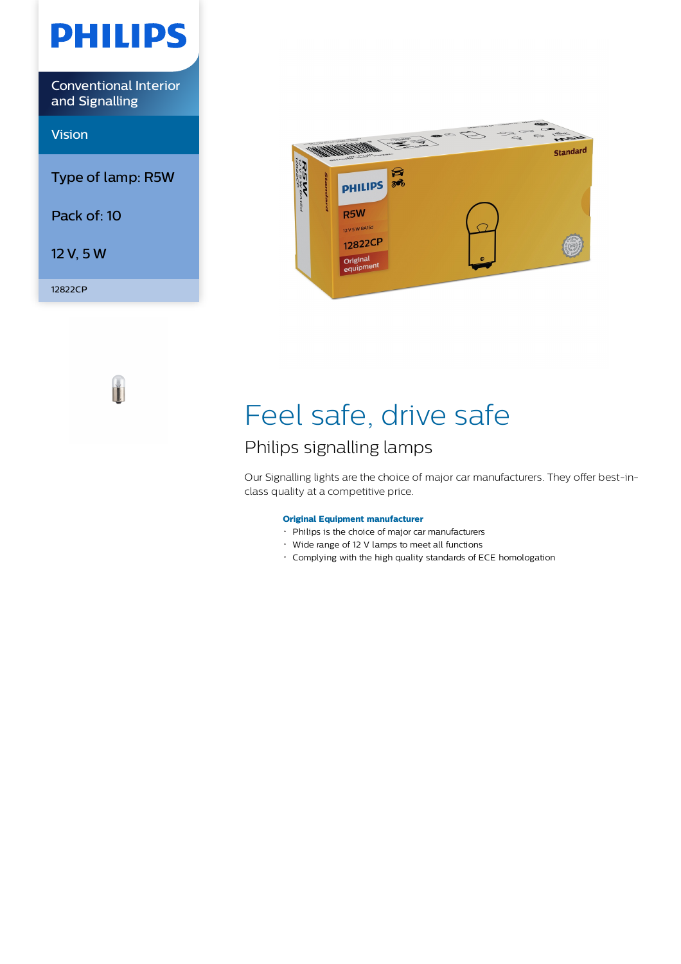

Ì.



# Feel safe, drive safe

## Philips signalling lamps

Our Signalling lights are the choice of major car manufacturers. They offer best-inclass quality at a competitive price.

## **Original Equipment manufacturer**

- Philips is the choice of major car manufacturers
- Wide range of 12 V lamps to meet all functions
- Complying with the high quality standards of ECE homologation